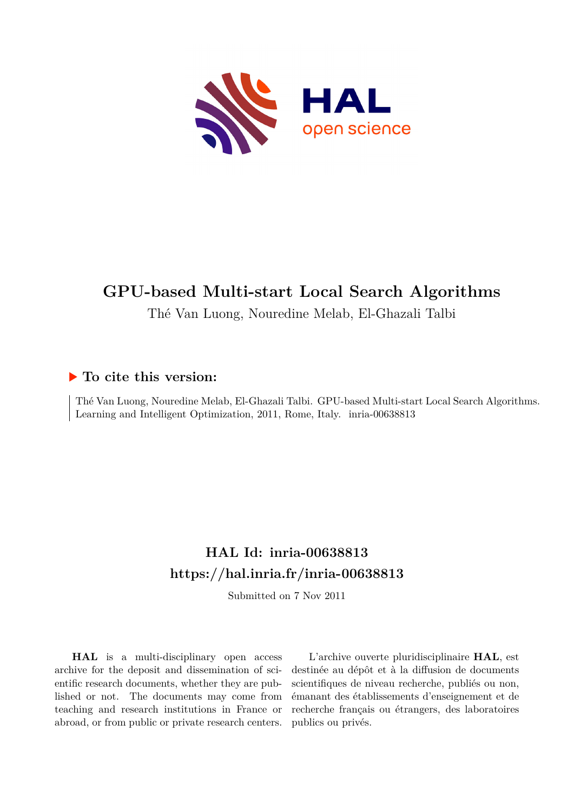

# **GPU-based Multi-start Local Search Algorithms**

Thé Van Luong, Nouredine Melab, El-Ghazali Talbi

# **To cite this version:**

Thé Van Luong, Nouredine Melab, El-Ghazali Talbi. GPU-based Multi-start Local Search Algorithms. Learning and Intelligent Optimization, 2011, Rome, Italy. inria-00638813

# **HAL Id: inria-00638813 <https://hal.inria.fr/inria-00638813>**

Submitted on 7 Nov 2011

**HAL** is a multi-disciplinary open access archive for the deposit and dissemination of scientific research documents, whether they are published or not. The documents may come from teaching and research institutions in France or abroad, or from public or private research centers.

L'archive ouverte pluridisciplinaire **HAL**, est destinée au dépôt et à la diffusion de documents scientifiques de niveau recherche, publiés ou non, émanant des établissements d'enseignement et de recherche français ou étrangers, des laboratoires publics ou privés.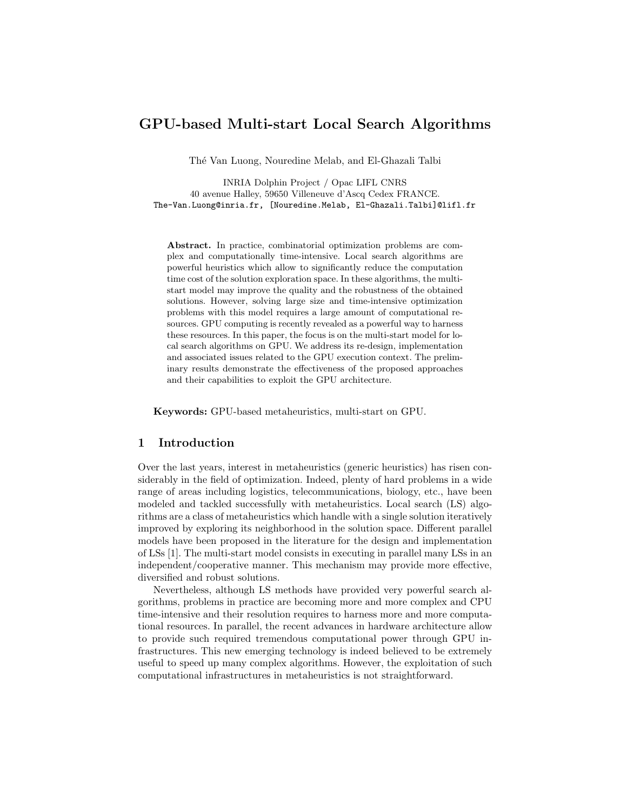# GPU-based Multi-start Local Search Algorithms

Th´e Van Luong, Nouredine Melab, and El-Ghazali Talbi

INRIA Dolphin Project / Opac LIFL CNRS 40 avenue Halley, 59650 Villeneuve d'Ascq Cedex FRANCE. The-Van.Luong@inria.fr, [Nouredine.Melab, El-Ghazali.Talbi]@lifl.fr

Abstract. In practice, combinatorial optimization problems are complex and computationally time-intensive. Local search algorithms are powerful heuristics which allow to significantly reduce the computation time cost of the solution exploration space. In these algorithms, the multistart model may improve the quality and the robustness of the obtained solutions. However, solving large size and time-intensive optimization problems with this model requires a large amount of computational resources. GPU computing is recently revealed as a powerful way to harness these resources. In this paper, the focus is on the multi-start model for local search algorithms on GPU. We address its re-design, implementation and associated issues related to the GPU execution context. The preliminary results demonstrate the effectiveness of the proposed approaches and their capabilities to exploit the GPU architecture.

Keywords: GPU-based metaheuristics, multi-start on GPU.

#### 1 Introduction

Over the last years, interest in metaheuristics (generic heuristics) has risen considerably in the field of optimization. Indeed, plenty of hard problems in a wide range of areas including logistics, telecommunications, biology, etc., have been modeled and tackled successfully with metaheuristics. Local search (LS) algorithms are a class of metaheuristics which handle with a single solution iteratively improved by exploring its neighborhood in the solution space. Different parallel models have been proposed in the literature for the design and implementation of LSs [1]. The multi-start model consists in executing in parallel many LSs in an independent/cooperative manner. This mechanism may provide more effective, diversified and robust solutions.

Nevertheless, although LS methods have provided very powerful search algorithms, problems in practice are becoming more and more complex and CPU time-intensive and their resolution requires to harness more and more computational resources. In parallel, the recent advances in hardware architecture allow to provide such required tremendous computational power through GPU infrastructures. This new emerging technology is indeed believed to be extremely useful to speed up many complex algorithms. However, the exploitation of such computational infrastructures in metaheuristics is not straightforward.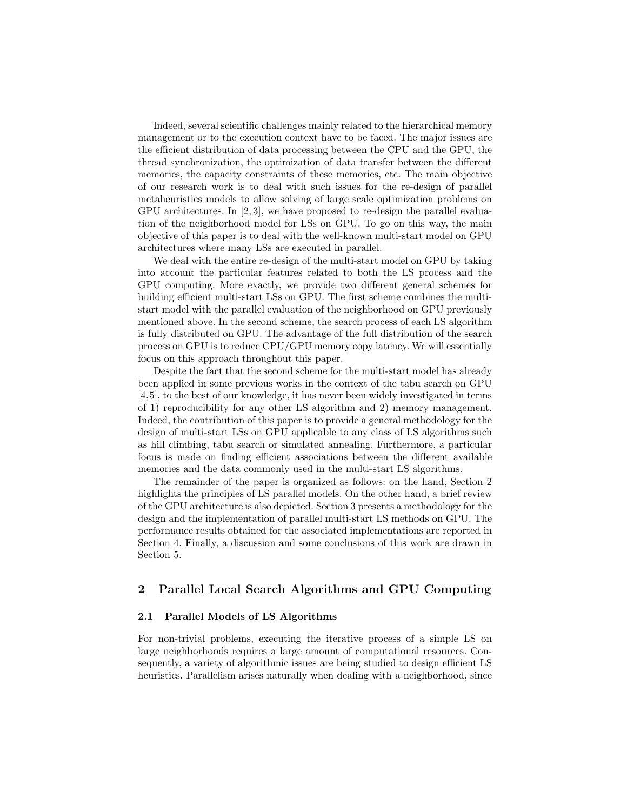Indeed, several scientific challenges mainly related to the hierarchical memory management or to the execution context have to be faced. The major issues are the efficient distribution of data processing between the CPU and the GPU, the thread synchronization, the optimization of data transfer between the different memories, the capacity constraints of these memories, etc. The main objective of our research work is to deal with such issues for the re-design of parallel metaheuristics models to allow solving of large scale optimization problems on GPU architectures. In [2, 3], we have proposed to re-design the parallel evaluation of the neighborhood model for LSs on GPU. To go on this way, the main objective of this paper is to deal with the well-known multi-start model on GPU architectures where many LSs are executed in parallel.

We deal with the entire re-design of the multi-start model on GPU by taking into account the particular features related to both the LS process and the GPU computing. More exactly, we provide two different general schemes for building efficient multi-start LSs on GPU. The first scheme combines the multistart model with the parallel evaluation of the neighborhood on GPU previously mentioned above. In the second scheme, the search process of each LS algorithm is fully distributed on GPU. The advantage of the full distribution of the search process on GPU is to reduce CPU/GPU memory copy latency. We will essentially focus on this approach throughout this paper.

Despite the fact that the second scheme for the multi-start model has already been applied in some previous works in the context of the tabu search on GPU [4,5], to the best of our knowledge, it has never been widely investigated in terms of 1) reproducibility for any other LS algorithm and 2) memory management. Indeed, the contribution of this paper is to provide a general methodology for the design of multi-start LSs on GPU applicable to any class of LS algorithms such as hill climbing, tabu search or simulated annealing. Furthermore, a particular focus is made on finding efficient associations between the different available memories and the data commonly used in the multi-start LS algorithms.

The remainder of the paper is organized as follows: on the hand, Section 2 highlights the principles of LS parallel models. On the other hand, a brief review of the GPU architecture is also depicted. Section 3 presents a methodology for the design and the implementation of parallel multi-start LS methods on GPU. The performance results obtained for the associated implementations are reported in Section 4. Finally, a discussion and some conclusions of this work are drawn in Section 5.

### 2 Parallel Local Search Algorithms and GPU Computing

#### 2.1 Parallel Models of LS Algorithms

For non-trivial problems, executing the iterative process of a simple LS on large neighborhoods requires a large amount of computational resources. Consequently, a variety of algorithmic issues are being studied to design efficient LS heuristics. Parallelism arises naturally when dealing with a neighborhood, since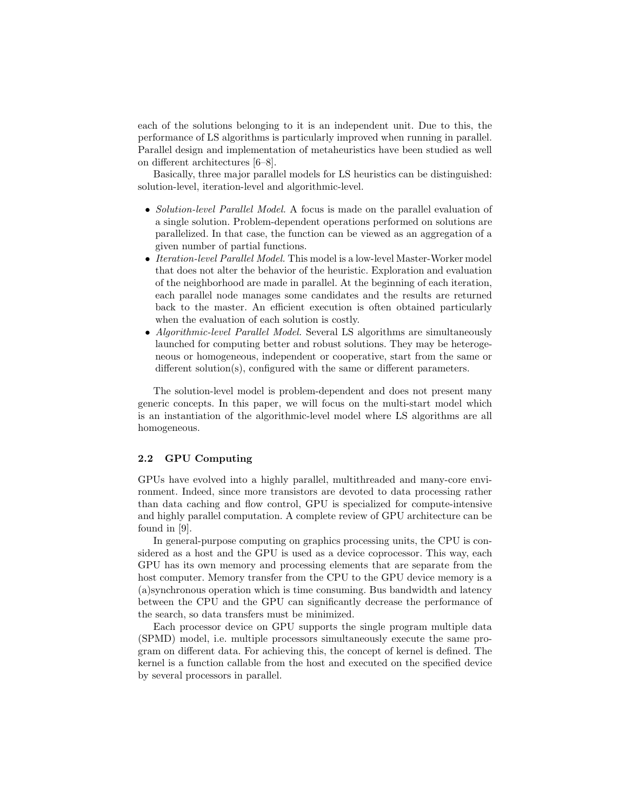each of the solutions belonging to it is an independent unit. Due to this, the performance of LS algorithms is particularly improved when running in parallel. Parallel design and implementation of metaheuristics have been studied as well on different architectures [6–8].

Basically, three major parallel models for LS heuristics can be distinguished: solution-level, iteration-level and algorithmic-level.

- Solution-level Parallel Model. A focus is made on the parallel evaluation of a single solution. Problem-dependent operations performed on solutions are parallelized. In that case, the function can be viewed as an aggregation of a given number of partial functions.
- Iteration-level Parallel Model. This model is a low-level Master-Worker model that does not alter the behavior of the heuristic. Exploration and evaluation of the neighborhood are made in parallel. At the beginning of each iteration, each parallel node manages some candidates and the results are returned back to the master. An efficient execution is often obtained particularly when the evaluation of each solution is costly.
- Algorithmic-level Parallel Model. Several LS algorithms are simultaneously launched for computing better and robust solutions. They may be heterogeneous or homogeneous, independent or cooperative, start from the same or different solution(s), configured with the same or different parameters.

The solution-level model is problem-dependent and does not present many generic concepts. In this paper, we will focus on the multi-start model which is an instantiation of the algorithmic-level model where LS algorithms are all homogeneous.

#### 2.2 GPU Computing

GPUs have evolved into a highly parallel, multithreaded and many-core environment. Indeed, since more transistors are devoted to data processing rather than data caching and flow control, GPU is specialized for compute-intensive and highly parallel computation. A complete review of GPU architecture can be found in [9].

In general-purpose computing on graphics processing units, the CPU is considered as a host and the GPU is used as a device coprocessor. This way, each GPU has its own memory and processing elements that are separate from the host computer. Memory transfer from the CPU to the GPU device memory is a (a)synchronous operation which is time consuming. Bus bandwidth and latency between the CPU and the GPU can significantly decrease the performance of the search, so data transfers must be minimized.

Each processor device on GPU supports the single program multiple data (SPMD) model, i.e. multiple processors simultaneously execute the same program on different data. For achieving this, the concept of kernel is defined. The kernel is a function callable from the host and executed on the specified device by several processors in parallel.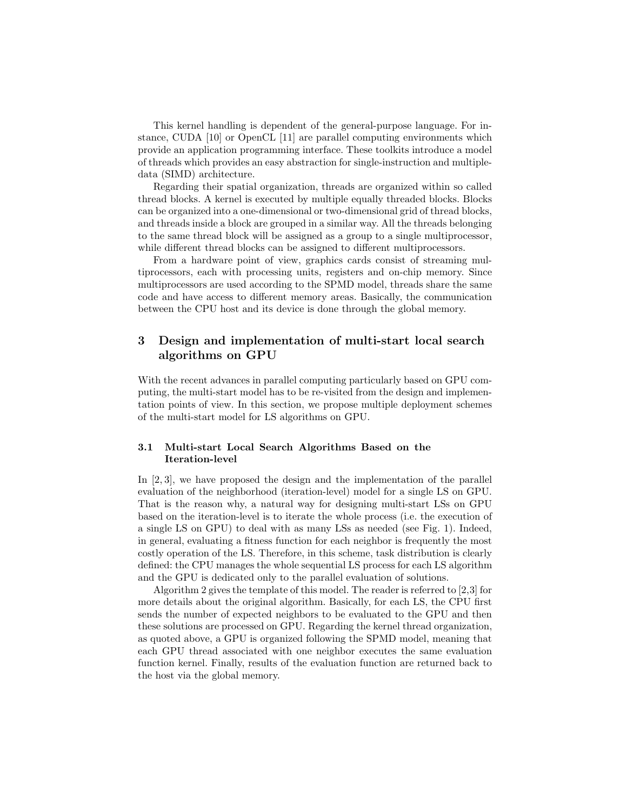This kernel handling is dependent of the general-purpose language. For instance, CUDA [10] or OpenCL [11] are parallel computing environments which provide an application programming interface. These toolkits introduce a model of threads which provides an easy abstraction for single-instruction and multipledata (SIMD) architecture.

Regarding their spatial organization, threads are organized within so called thread blocks. A kernel is executed by multiple equally threaded blocks. Blocks can be organized into a one-dimensional or two-dimensional grid of thread blocks, and threads inside a block are grouped in a similar way. All the threads belonging to the same thread block will be assigned as a group to a single multiprocessor, while different thread blocks can be assigned to different multiprocessors.

From a hardware point of view, graphics cards consist of streaming multiprocessors, each with processing units, registers and on-chip memory. Since multiprocessors are used according to the SPMD model, threads share the same code and have access to different memory areas. Basically, the communication between the CPU host and its device is done through the global memory.

## 3 Design and implementation of multi-start local search algorithms on GPU

With the recent advances in parallel computing particularly based on GPU computing, the multi-start model has to be re-visited from the design and implementation points of view. In this section, we propose multiple deployment schemes of the multi-start model for LS algorithms on GPU.

#### 3.1 Multi-start Local Search Algorithms Based on the Iteration-level

In [2, 3], we have proposed the design and the implementation of the parallel evaluation of the neighborhood (iteration-level) model for a single LS on GPU. That is the reason why, a natural way for designing multi-start LSs on GPU based on the iteration-level is to iterate the whole process (i.e. the execution of a single LS on GPU) to deal with as many LSs as needed (see Fig. 1). Indeed, in general, evaluating a fitness function for each neighbor is frequently the most costly operation of the LS. Therefore, in this scheme, task distribution is clearly defined: the CPU manages the whole sequential LS process for each LS algorithm and the GPU is dedicated only to the parallel evaluation of solutions.

Algorithm 2 gives the template of this model. The reader is referred to [2,3] for more details about the original algorithm. Basically, for each LS, the CPU first sends the number of expected neighbors to be evaluated to the GPU and then these solutions are processed on GPU. Regarding the kernel thread organization, as quoted above, a GPU is organized following the SPMD model, meaning that each GPU thread associated with one neighbor executes the same evaluation function kernel. Finally, results of the evaluation function are returned back to the host via the global memory.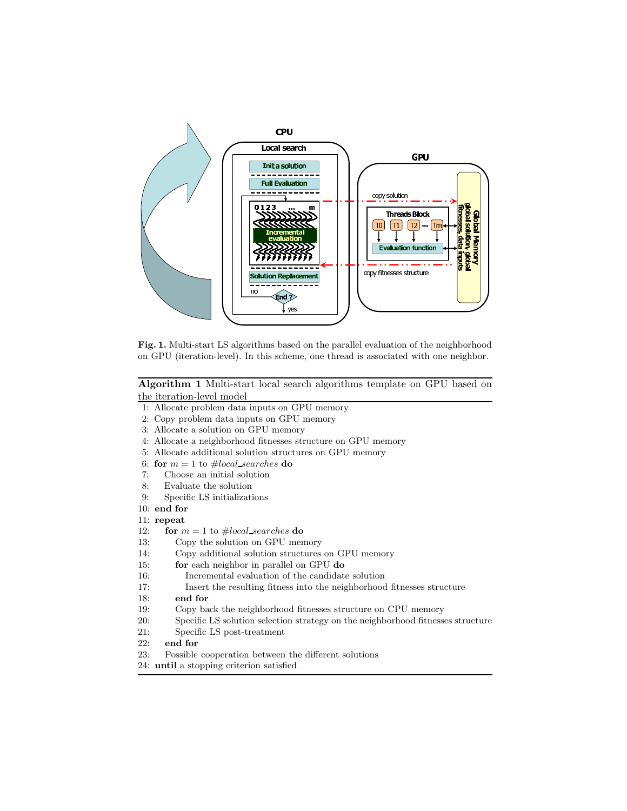

Fig. 1. Multi-start LS algorithms based on the parallel evaluation of the neighborhood on GPU (iteration-level). In this scheme, one thread is associated with one neighbor.

Algorithm 1 Multi-start local search algorithms template on GPU based on the iteration-level model

- 1: Allocate problem data inputs on GPU memory
- 2: Copy problem data inputs on GPU memory
- 3: Allocate a solution on GPU memory
- 4: Allocate a neighborhood fitnesses structure on GPU memory
- 5: Allocate additional solution structures on GPU memory
- 6: for  $m = 1$  to #local\_searches do
- 7: Choose an initial solution
- 8: Evaluate the solution
- 9: Specific LS initializations
- 10: end for
- 11: repeat
- 12: for  $m = 1$  to #local\_searches do
- 13: Copy the solution on GPU memory
- 14: Copy additional solution structures on GPU memory
- 15: for each neighbor in parallel on GPU do
- 16: Incremental evaluation of the candidate solution
- 17: Insert the resulting fitness into the neighborhood fitnesses structure
- 18: end for
- 19: Copy back the neighborhood fitnesses structure on CPU memory
- 20: Specific LS solution selection strategy on the neighborhood fitnesses structure
- 21: Specific LS post-treatment
- 22: end for
- 23: Possible cooperation between the different solutions
- 24: until a stopping criterion satisfied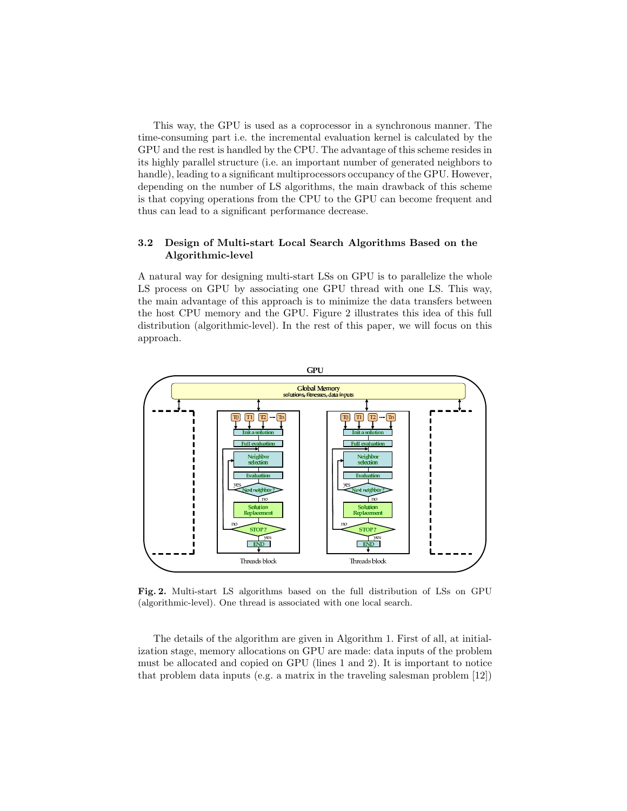This way, the GPU is used as a coprocessor in a synchronous manner. The time-consuming part i.e. the incremental evaluation kernel is calculated by the GPU and the rest is handled by the CPU. The advantage of this scheme resides in its highly parallel structure (i.e. an important number of generated neighbors to handle), leading to a significant multiprocessors occupancy of the GPU. However, depending on the number of LS algorithms, the main drawback of this scheme is that copying operations from the CPU to the GPU can become frequent and thus can lead to a significant performance decrease.

#### 3.2 Design of Multi-start Local Search Algorithms Based on the Algorithmic-level

A natural way for designing multi-start LSs on GPU is to parallelize the whole LS process on GPU by associating one GPU thread with one LS. This way, the main advantage of this approach is to minimize the data transfers between the host CPU memory and the GPU. Figure 2 illustrates this idea of this full distribution (algorithmic-level). In the rest of this paper, we will focus on this approach.



Fig. 2. Multi-start LS algorithms based on the full distribution of LSs on GPU (algorithmic-level). One thread is associated with one local search.

The details of the algorithm are given in Algorithm 1. First of all, at initialization stage, memory allocations on GPU are made: data inputs of the problem must be allocated and copied on GPU (lines 1 and 2). It is important to notice that problem data inputs (e.g. a matrix in the traveling salesman problem [12])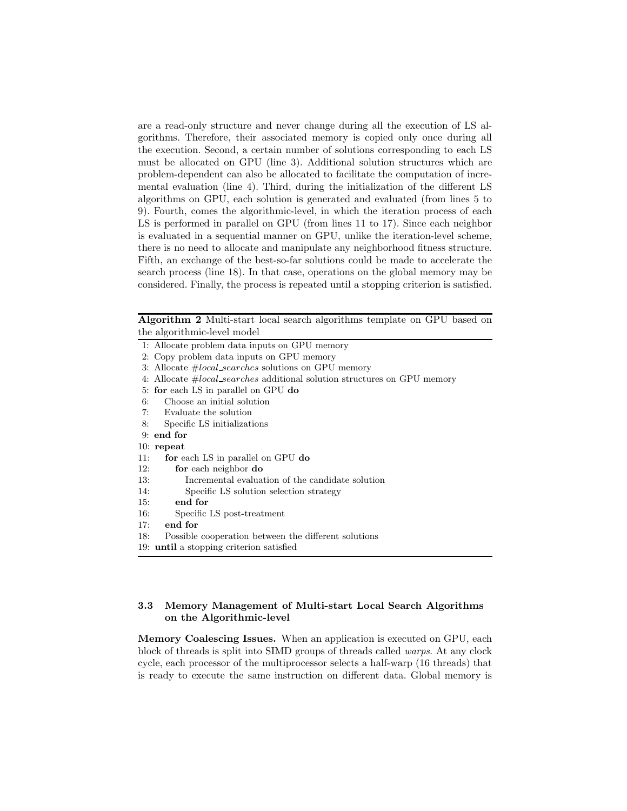are a read-only structure and never change during all the execution of LS algorithms. Therefore, their associated memory is copied only once during all the execution. Second, a certain number of solutions corresponding to each LS must be allocated on GPU (line 3). Additional solution structures which are problem-dependent can also be allocated to facilitate the computation of incremental evaluation (line 4). Third, during the initialization of the different LS algorithms on GPU, each solution is generated and evaluated (from lines 5 to 9). Fourth, comes the algorithmic-level, in which the iteration process of each LS is performed in parallel on GPU (from lines 11 to 17). Since each neighbor is evaluated in a sequential manner on GPU, unlike the iteration-level scheme, there is no need to allocate and manipulate any neighborhood fitness structure. Fifth, an exchange of the best-so-far solutions could be made to accelerate the search process (line 18). In that case, operations on the global memory may be considered. Finally, the process is repeated until a stopping criterion is satisfied.

Algorithm 2 Multi-start local search algorithms template on GPU based on the algorithmic-level model

| 1: Allocate problem data inputs on GPU memory |  |  |  |  |  |  |  |  |  |
|-----------------------------------------------|--|--|--|--|--|--|--|--|--|
|-----------------------------------------------|--|--|--|--|--|--|--|--|--|

- 2: Copy problem data inputs on GPU memory
- 3: Allocate  $\#local\_searches$  solutions on GPU memory
- 4: Allocate #local searches additional solution structures on GPU memory
- 5: for each LS in parallel on GPU do
- 6: Choose an initial solution
- 7: Evaluate the solution
- 8: Specific LS initializations
- 9: end for
- 10: repeat
- 11: for each LS in parallel on GPU do
- 12: for each neighbor do
- 13: Incremental evaluation of the candidate solution
- 14: Specific LS solution selection strategy
- 15: end for
- 16: Specific LS post-treatment
- 17: end for
- 18: Possible cooperation between the different solutions
- 19: until a stopping criterion satisfied

#### 3.3 Memory Management of Multi-start Local Search Algorithms on the Algorithmic-level

Memory Coalescing Issues. When an application is executed on GPU, each block of threads is split into SIMD groups of threads called warps. At any clock cycle, each processor of the multiprocessor selects a half-warp (16 threads) that is ready to execute the same instruction on different data. Global memory is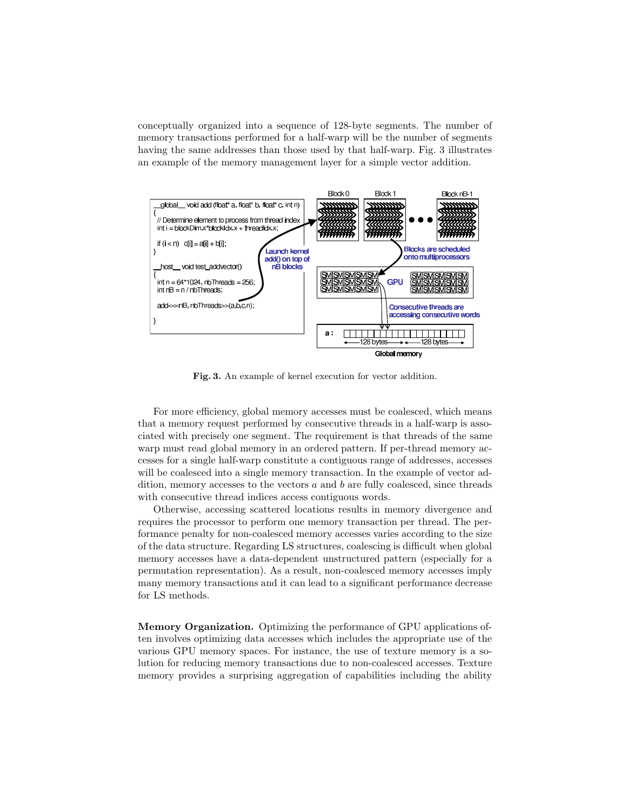conceptually organized into a sequence of 128-byte segments. The number of memory transactions performed for a half-warp will be the number of segments having the same addresses than those used by that half-warp. Fig. 3 illustrates an example of the memory management layer for a simple vector addition.



Fig. 3. An example of kernel execution for vector addition.

For more efficiency, global memory accesses must be coalesced, which means that a memory request performed by consecutive threads in a half-warp is associated with precisely one segment. The requirement is that threads of the same warp must read global memory in an ordered pattern. If per-thread memory accesses for a single half-warp constitute a contiguous range of addresses, accesses will be coalesced into a single memory transaction. In the example of vector addition, memory accesses to the vectors  $a$  and  $b$  are fully coalesced, since threads with consecutive thread indices access contiguous words.

Otherwise, accessing scattered locations results in memory divergence and requires the processor to perform one memory transaction per thread. The performance penalty for non-coalesced memory accesses varies according to the size of the data structure. Regarding LS structures, coalescing is difficult when global memory accesses have a data-dependent unstructured pattern (especially for a permutation representation). As a result, non-coalesced memory accesses imply many memory transactions and it can lead to a significant performance decrease for LS methods.

Memory Organization. Optimizing the performance of GPU applications often involves optimizing data accesses which includes the appropriate use of the various GPU memory spaces. For instance, the use of texture memory is a solution for reducing memory transactions due to non-coalesced accesses. Texture memory provides a surprising aggregation of capabilities including the ability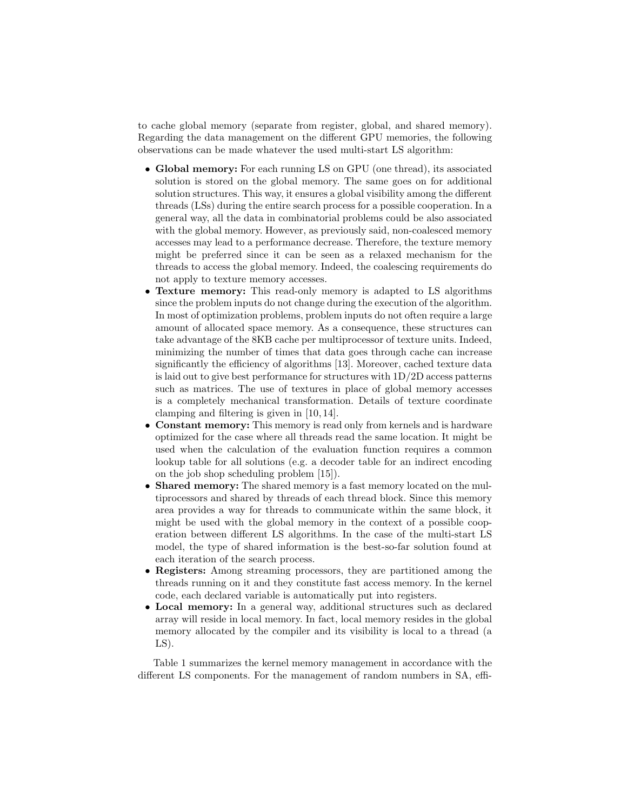to cache global memory (separate from register, global, and shared memory). Regarding the data management on the different GPU memories, the following observations can be made whatever the used multi-start LS algorithm:

- Global memory: For each running LS on GPU (one thread), its associated solution is stored on the global memory. The same goes on for additional solution structures. This way, it ensures a global visibility among the different threads (LSs) during the entire search process for a possible cooperation. In a general way, all the data in combinatorial problems could be also associated with the global memory. However, as previously said, non-coalesced memory accesses may lead to a performance decrease. Therefore, the texture memory might be preferred since it can be seen as a relaxed mechanism for the threads to access the global memory. Indeed, the coalescing requirements do not apply to texture memory accesses.
- Texture memory: This read-only memory is adapted to LS algorithms since the problem inputs do not change during the execution of the algorithm. In most of optimization problems, problem inputs do not often require a large amount of allocated space memory. As a consequence, these structures can take advantage of the 8KB cache per multiprocessor of texture units. Indeed, minimizing the number of times that data goes through cache can increase significantly the efficiency of algorithms [13]. Moreover, cached texture data is laid out to give best performance for structures with 1D/2D access patterns such as matrices. The use of textures in place of global memory accesses is a completely mechanical transformation. Details of texture coordinate clamping and filtering is given in [10, 14].
- Constant memory: This memory is read only from kernels and is hardware optimized for the case where all threads read the same location. It might be used when the calculation of the evaluation function requires a common lookup table for all solutions (e.g. a decoder table for an indirect encoding on the job shop scheduling problem [15]).
- Shared memory: The shared memory is a fast memory located on the multiprocessors and shared by threads of each thread block. Since this memory area provides a way for threads to communicate within the same block, it might be used with the global memory in the context of a possible cooperation between different LS algorithms. In the case of the multi-start LS model, the type of shared information is the best-so-far solution found at each iteration of the search process.
- Registers: Among streaming processors, they are partitioned among the threads running on it and they constitute fast access memory. In the kernel code, each declared variable is automatically put into registers.
- Local memory: In a general way, additional structures such as declared array will reside in local memory. In fact, local memory resides in the global memory allocated by the compiler and its visibility is local to a thread (a LS).

Table 1 summarizes the kernel memory management in accordance with the different LS components. For the management of random numbers in SA, effi-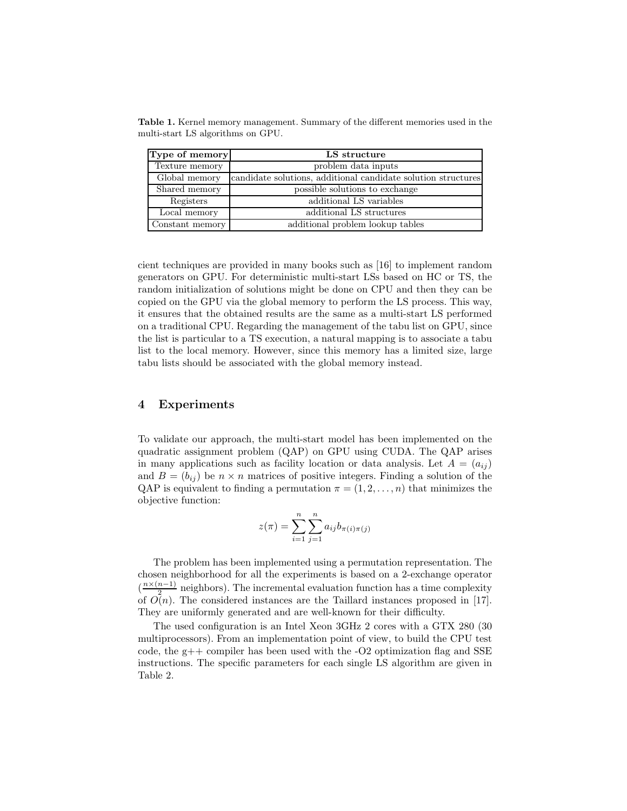Table 1. Kernel memory management. Summary of the different memories used in the multi-start LS algorithms on GPU.

| $\sqrt{\text{Type of memory}}$ | LS structure                                                  |
|--------------------------------|---------------------------------------------------------------|
| Texture memory                 | problem data inputs                                           |
| Global memory                  | candidate solutions, additional candidate solution structures |
| Shared memory                  | possible solutions to exchange                                |
| Registers                      | additional LS variables                                       |
| Local memory                   | additional LS structures                                      |
| Constant memory                | additional problem lookup tables                              |

cient techniques are provided in many books such as [16] to implement random generators on GPU. For deterministic multi-start LSs based on HC or TS, the random initialization of solutions might be done on CPU and then they can be copied on the GPU via the global memory to perform the LS process. This way, it ensures that the obtained results are the same as a multi-start LS performed on a traditional CPU. Regarding the management of the tabu list on GPU, since the list is particular to a TS execution, a natural mapping is to associate a tabu list to the local memory. However, since this memory has a limited size, large tabu lists should be associated with the global memory instead.

#### 4 Experiments

To validate our approach, the multi-start model has been implemented on the quadratic assignment problem (QAP) on GPU using CUDA. The QAP arises in many applications such as facility location or data analysis. Let  $A = (a_{ij})$ and  $B = (b_{ij})$  be  $n \times n$  matrices of positive integers. Finding a solution of the QAP is equivalent to finding a permutation  $\pi = (1, 2, \ldots, n)$  that minimizes the objective function:

$$
z(\pi) = \sum_{i=1}^{n} \sum_{j=1}^{n} a_{ij} b_{\pi(i)\pi(j)}
$$

The problem has been implemented using a permutation representation. The chosen neighborhood for all the experiments is based on a 2-exchange operator  $\left(\frac{n\times(n-1)}{2}\right)$  neighbors). The incremental evaluation function has a time complexity  $\overline{O(n)}$ . The considered instances are the Taillard instances proposed in [17]. They are uniformly generated and are well-known for their difficulty.

The used configuration is an Intel Xeon 3GHz 2 cores with a GTX 280 (30 multiprocessors). From an implementation point of view, to build the CPU test code, the  $g++$  compiler has been used with the  $-O2$  optimization flag and SSE instructions. The specific parameters for each single LS algorithm are given in Table 2.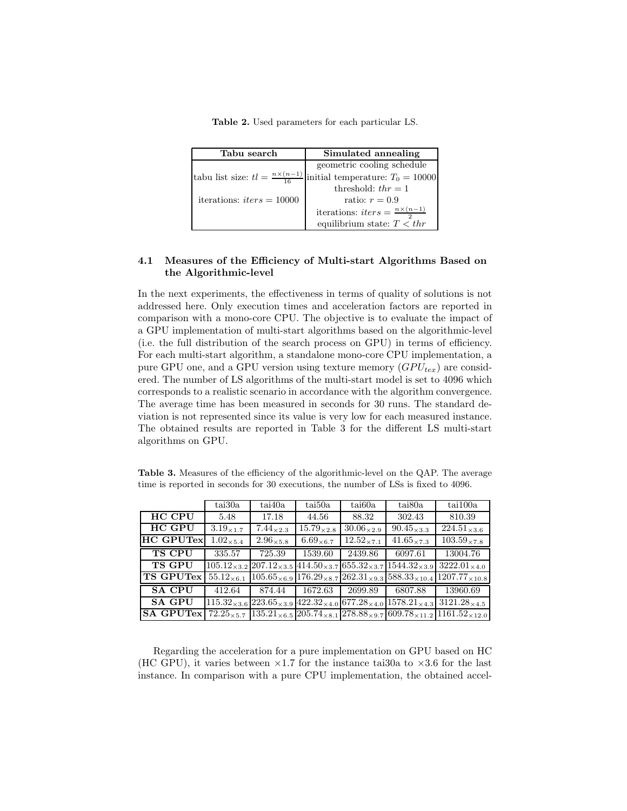Table 2. Used parameters for each particular LS.

| Tabu search                 | Simulated annealing                                                                                         |
|-----------------------------|-------------------------------------------------------------------------------------------------------------|
|                             | ${\bf geometric}$ cooling schedule                                                                          |
|                             | tabu list size: $tl = \frac{n \times (n-1)}{16}$ initial temperature: $T_0 = 10000$<br>threshold: $thr = 1$ |
|                             |                                                                                                             |
| iterations: $iters = 10000$ | ratio: $r = 0.9$                                                                                            |
|                             | iterations: $iters = \frac{n \times (n-1)}{2}$                                                              |
|                             | equilibrium state: $T < thr$                                                                                |

#### 4.1 Measures of the Efficiency of Multi-start Algorithms Based on the Algorithmic-level

In the next experiments, the effectiveness in terms of quality of solutions is not addressed here. Only execution times and acceleration factors are reported in comparison with a mono-core CPU. The objective is to evaluate the impact of a GPU implementation of multi-start algorithms based on the algorithmic-level (i.e. the full distribution of the search process on GPU) in terms of efficiency. For each multi-start algorithm, a standalone mono-core CPU implementation, a pure GPU one, and a GPU version using texture memory  $(GPU_{tex})$  are considered. The number of LS algorithms of the multi-start model is set to 4096 which corresponds to a realistic scenario in accordance with the algorithm convergence. The average time has been measured in seconds for 30 runs. The standard deviation is not represented since its value is very low for each measured instance. The obtained results are reported in Table 3 for the different LS multi-start algorithms on GPU.

Table 3. Measures of the efficiency of the algorithmic-level on the QAP. The average time is reported in seconds for 30 executions, the number of LSs is fixed to 4096.

|                  | tai30a               | $\text{tail}0a$                            | $\text{tail}50a$                             | tai60a               | tai80a                                                                             | $\text{tail}00a$        |
|------------------|----------------------|--------------------------------------------|----------------------------------------------|----------------------|------------------------------------------------------------------------------------|-------------------------|
| <b>HC CPU</b>    | 5.48                 | 17.18                                      | 44.56                                        | 88.32                | 302.43                                                                             | 810.39                  |
| <b>HC GPU</b>    | $3.19_{\times 1.7}$  | $7.44_{\times 2.3}$                        | $15.79\times2.8$                             | $30.06_{\times 2.9}$ | $90.45_{\times 3.3}$                                                               | $224.51_{\times3.6}$    |
| <b>HC GPUTex</b> | $1.02_{\times 5.4}$  | $2.96_{\times 5.8}$                        | $6.69_{\times 6.7}$                          | $12.52_{\times 7.1}$ | $41.65_{\times 7.3}$                                                               | $103.59_{\times 7.8}$   |
| <b>TS CPU</b>    | 335.57               | 725.39                                     | 1539.60                                      | 2439.86              | 6097.61                                                                            | 13004.76                |
| TS GPU           |                      | $105.12_{\times3.2}$ 207.12 $_{\times3.5}$ | $414.50_{\times 3.7}$ 655.32 $_{\times 3.7}$ |                      | $1544.32_{\times 3.9}$                                                             | $3222.01_{\times 4.0}$  |
| TS GPUTex        | $55.12_{\times 6.1}$ | $105.65_{\times 6.9}$                      | $176.29_{\times 8.7}$ 262.31 <sub>×9.3</sub> |                      | $588.33_{\times 10.4}$                                                             | $1207.77_{\times 10.8}$ |
| <b>SA CPU</b>    | 412.64               | 874.44                                     | 1672.63                                      | 2699.89              | 6807.88                                                                            | 13960.69                |
| <b>SA GPU</b>    |                      | $115.32_{\times3.6}$ $223.65_{\times3.9}$  |                                              |                      | $422.32_{\times 4.0}$ 677.28 $_{\times 4.0}$ 1578.21 $_{\times 4.3}$               | $3121.28_{\times 4.5}$  |
| <b>SA GPUTex</b> | $72.25_{\times 5.7}$ |                                            |                                              |                      | $135.21_{\times 6.5}$ 205.74 $\times$ 8.1 278.88 $\times$ 9.7 609.78 $\times$ 11.2 | $1161.52_{\times 12.0}$ |

Regarding the acceleration for a pure implementation on GPU based on HC (HC GPU), it varies between  $\times$ 1.7 for the instance tai30a to  $\times$ 3.6 for the last instance. In comparison with a pure CPU implementation, the obtained accel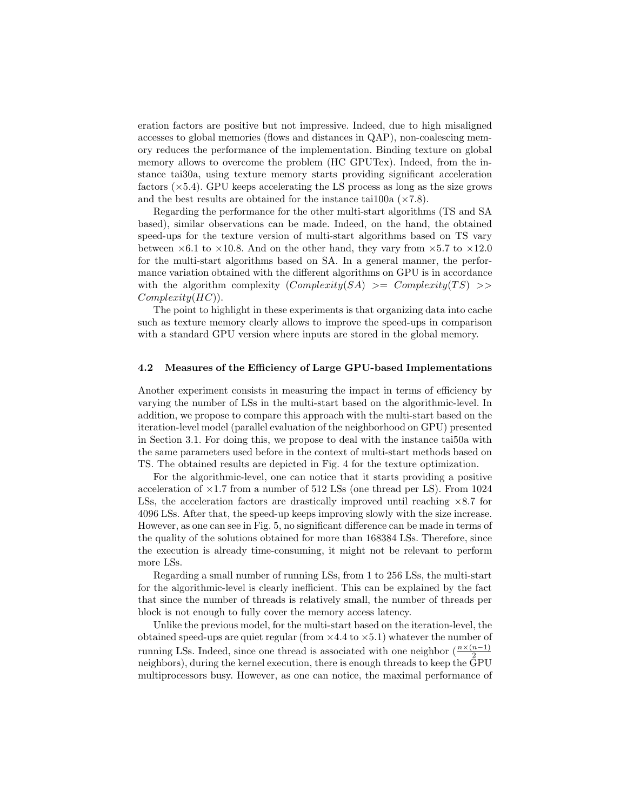eration factors are positive but not impressive. Indeed, due to high misaligned accesses to global memories (flows and distances in QAP), non-coalescing memory reduces the performance of the implementation. Binding texture on global memory allows to overcome the problem (HC GPUTex). Indeed, from the instance tai30a, using texture memory starts providing significant acceleration factors  $(\times 5.4)$ . GPU keeps accelerating the LS process as long as the size grows and the best results are obtained for the instance tai100a  $(\times 7.8)$ .

Regarding the performance for the other multi-start algorithms (TS and SA based), similar observations can be made. Indeed, on the hand, the obtained speed-ups for the texture version of multi-start algorithms based on TS vary between  $\times 6.1$  to  $\times 10.8$ . And on the other hand, they vary from  $\times 5.7$  to  $\times 12.0$ for the multi-start algorithms based on SA. In a general manner, the performance variation obtained with the different algorithms on GPU is in accordance with the algorithm complexity  $(Complexity(SA) \geq CNC)$  $Complexity(HC)$ .

The point to highlight in these experiments is that organizing data into cache such as texture memory clearly allows to improve the speed-ups in comparison with a standard GPU version where inputs are stored in the global memory.

#### 4.2 Measures of the Efficiency of Large GPU-based Implementations

Another experiment consists in measuring the impact in terms of efficiency by varying the number of LSs in the multi-start based on the algorithmic-level. In addition, we propose to compare this approach with the multi-start based on the iteration-level model (parallel evaluation of the neighborhood on GPU) presented in Section 3.1. For doing this, we propose to deal with the instance tai50a with the same parameters used before in the context of multi-start methods based on TS. The obtained results are depicted in Fig. 4 for the texture optimization.

For the algorithmic-level, one can notice that it starts providing a positive acceleration of  $\times$ 1.7 from a number of 512 LSs (one thread per LS). From 1024 LSs, the acceleration factors are drastically improved until reaching  $\times 8.7$  for 4096 LSs. After that, the speed-up keeps improving slowly with the size increase. However, as one can see in Fig. 5, no significant difference can be made in terms of the quality of the solutions obtained for more than 168384 LSs. Therefore, since the execution is already time-consuming, it might not be relevant to perform more LSs.

Regarding a small number of running LSs, from 1 to 256 LSs, the multi-start for the algorithmic-level is clearly inefficient. This can be explained by the fact that since the number of threads is relatively small, the number of threads per block is not enough to fully cover the memory access latency.

Unlike the previous model, for the multi-start based on the iteration-level, the obtained speed-ups are quiet regular (from  $\times$  4.4 to  $\times$  5.1) whatever the number of running LSs. Indeed, since one thread is associated with one neighbor  $\left(\frac{n \times (n-1)}{2}\right)$ neighbors), during the kernel execution, there is enough threads to keep the GPU multiprocessors busy. However, as one can notice, the maximal performance of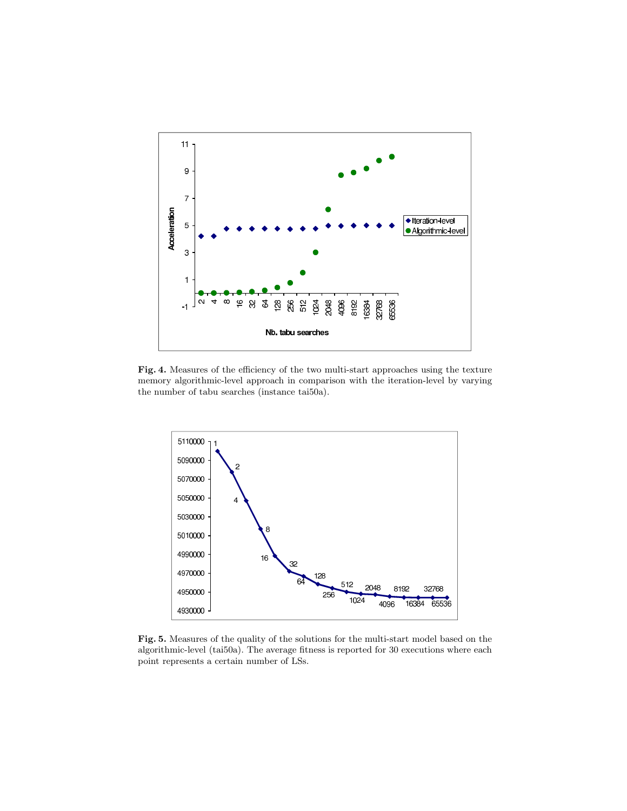

Fig. 4. Measures of the efficiency of the two multi-start approaches using the texture memory algorithmic-level approach in comparison with the iteration-level by varying the number of tabu searches (instance tai50a).



Fig. 5. Measures of the quality of the solutions for the multi-start model based on the algorithmic-level (tai50a). The average fitness is reported for 30 executions where each point represents a certain number of LSs.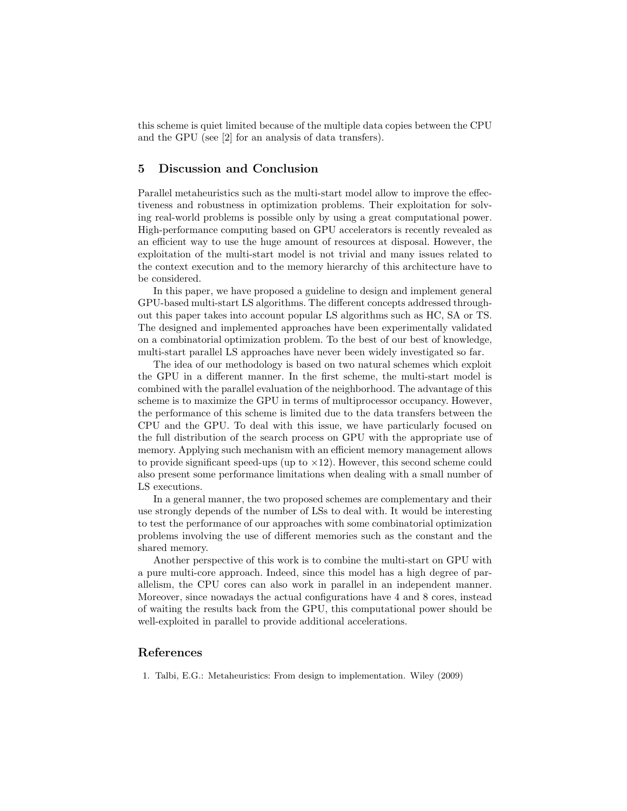this scheme is quiet limited because of the multiple data copies between the CPU and the GPU (see [2] for an analysis of data transfers).

### 5 Discussion and Conclusion

Parallel metaheuristics such as the multi-start model allow to improve the effectiveness and robustness in optimization problems. Their exploitation for solving real-world problems is possible only by using a great computational power. High-performance computing based on GPU accelerators is recently revealed as an efficient way to use the huge amount of resources at disposal. However, the exploitation of the multi-start model is not trivial and many issues related to the context execution and to the memory hierarchy of this architecture have to be considered.

In this paper, we have proposed a guideline to design and implement general GPU-based multi-start LS algorithms. The different concepts addressed throughout this paper takes into account popular LS algorithms such as HC, SA or TS. The designed and implemented approaches have been experimentally validated on a combinatorial optimization problem. To the best of our best of knowledge, multi-start parallel LS approaches have never been widely investigated so far.

The idea of our methodology is based on two natural schemes which exploit the GPU in a different manner. In the first scheme, the multi-start model is combined with the parallel evaluation of the neighborhood. The advantage of this scheme is to maximize the GPU in terms of multiprocessor occupancy. However, the performance of this scheme is limited due to the data transfers between the CPU and the GPU. To deal with this issue, we have particularly focused on the full distribution of the search process on GPU with the appropriate use of memory. Applying such mechanism with an efficient memory management allows to provide significant speed-ups (up to  $\times$ 12). However, this second scheme could also present some performance limitations when dealing with a small number of LS executions.

In a general manner, the two proposed schemes are complementary and their use strongly depends of the number of LSs to deal with. It would be interesting to test the performance of our approaches with some combinatorial optimization problems involving the use of different memories such as the constant and the shared memory.

Another perspective of this work is to combine the multi-start on GPU with a pure multi-core approach. Indeed, since this model has a high degree of parallelism, the CPU cores can also work in parallel in an independent manner. Moreover, since nowadays the actual configurations have 4 and 8 cores, instead of waiting the results back from the GPU, this computational power should be well-exploited in parallel to provide additional accelerations.

## References

1. Talbi, E.G.: Metaheuristics: From design to implementation. Wiley (2009)